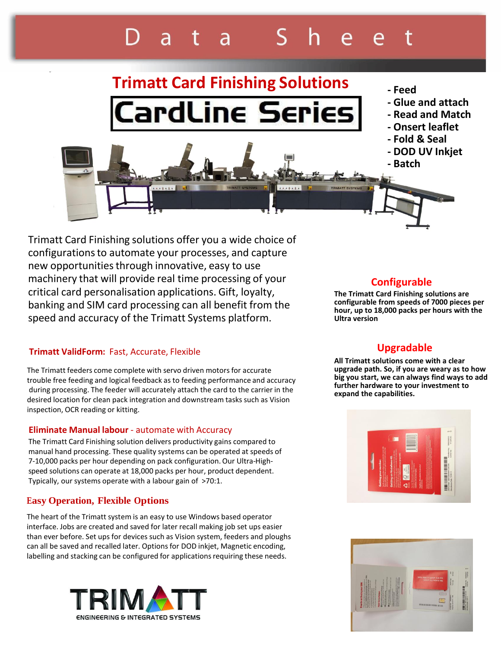# $\overline{a}$

# **Trimatt Card Finishing Solutions - Feed** ardLine Series

- 
- **- Glue and attach**
- **- Read and Match**
- **- Onsert leaflet**
- **- Fold & Seal**
- **- DOD UV Inkjet**
- **- Batch**

Trimatt Card Finishing solutions offer you a wide choice of configurationsto automate your processes, and capture new opportunities through innovative, easy to use machinery that will provide real time processing of your critical card personalisation applications. Gift, loyalty, banking and SIM card processing can all benefit from the speed and accuracy of the Trimatt Systems platform.

## **Trimatt ValidForm:** Fast, Accurate, Flexible

The Trimatt feeders come complete with servo driven motors for accurate trouble free feeding and logical feedback as to feeding performance and accuracy during processing. The feeder will accurately attach the card to the carrier in the desired location for clean pack integration and downstream tasks such as Vision inspection, OCR reading or kitting.

## **Eliminate Manual labour** - automate with Accuracy

The Trimatt Card Finishing solution delivers productivity gains compared to manual hand processing. These quality systems can be operated at speeds of 7-10,000 packs per hour depending on pack configuration.Our Ultra-Highspeed solutions can operate at 18,000 packs per hour, product dependent. Typically, our systems operate with a labour gain of >70:1.

# **Easy Operation, Flexible Options**

The heart of the Trimatt system is an easy to use Windows based operator interface. Jobs are created and saved for later recall making job set ups easier than ever before. Set ups for devices such as Vision system, feeders and ploughs can all be saved and recalled later. Options for DOD inkjet, Magnetic encoding, labelling and stacking can be configured for applications requiring these needs.



# **Configurable**

**The Trimatt Card Finishing solutions are configurable from speeds of 7000 pieces per hour, up to 18,000 packs per hours with the Ultra version**

# **Upgradable**

**All Trimatt solutions come with a clear upgrade path. So, if you are weary as to how big you start, we can always find ways to add further hardware to your investment to expand the capabilities.**